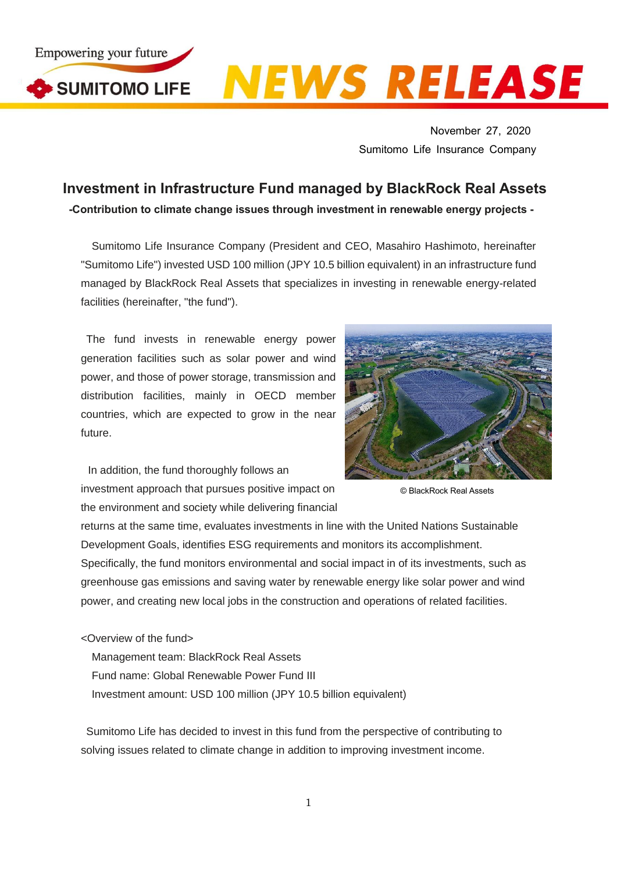Empowering your future SUMITOMO LIFE

## **NEWS RELEASE**

November 27, 2020 Sumitomo Life Insurance Company

## **Investment in Infrastructure Fund managed by BlackRock Real Assets**

**-Contribution to climate change issues through investment in renewable energy projects -**

Sumitomo Life Insurance Company (President and CEO, Masahiro Hashimoto, hereinafter "Sumitomo Life") invested USD 100 million (JPY 10.5 billion equivalent) in an infrastructure fund managed by BlackRock Real Assets that specializes in investing in renewable energy-related facilities (hereinafter, "the fund").

The fund invests in renewable energy power generation facilities such as solar power and wind power, and those of power storage, transmission and distribution facilities, mainly in OECD member countries, which are expected to grow in the near future.

In addition, the fund thoroughly follows an investment approach that pursues positive impact on the environment and society while delivering financial



© BlackRock Real Assets

returns at the same time, evaluates investments in line with the United Nations Sustainable Development Goals, identifies ESG requirements and monitors its accomplishment. Specifically, the fund monitors environmental and social impact in of its investments, such as greenhouse gas emissions and saving water by renewable energy like solar power and wind power, and creating new local jobs in the construction and operations of related facilities.

<Overview of the fund>

Management team: BlackRock Real Assets Fund name: Global Renewable Power Fund III Investment amount: USD 100 million (JPY 10.5 billion equivalent)

Sumitomo Life has decided to invest in this fund from the perspective of contributing to solving issues related to climate change in addition to improving investment income.